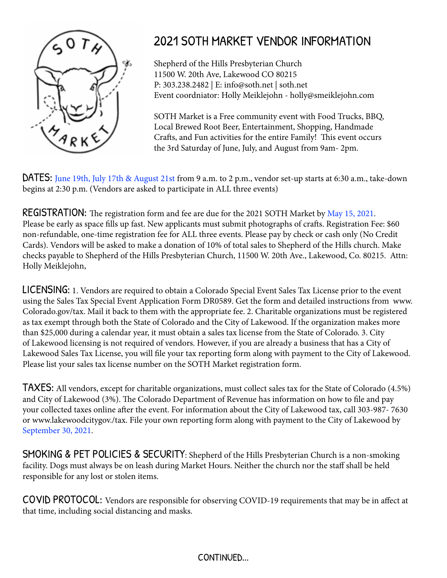

## 2021 SOTH MARKET VENDOR INFORMATION

Shepherd of the Hills Presbyterian Church 11500 W. 20th Ave, Lakewood CO 80215 P: 303.238.2482 | E: info@soth.net | soth.net Event coordniator: Holly Meiklejohn - holly@smeiklejohn.com

SOTH Market is a Free community event with Food Trucks, BBQ, Local Brewed Root Beer, Entertainment, Shopping, Handmade Crafts, and Fun activities for the entire Family! This event occurs the 3rd Saturday of June, July, and August from 9am- 2pm.

DATES: June 19th, July 17th & August 21st from 9 a.m. to 2 p.m., vendor set-up starts at 6:30 a.m., take-down begins at 2:30 p.m. (Vendors are asked to participate in ALL three events)

**REGISTRATION:** The registration form and fee are due for the 2021 SOTH Market by May 15, 2021. Please be early as space fills up fast. New applicants must submit photographs of crafts. Registration Fee: \$60 non-refundable, one-time registration fee for ALL three events. Please pay by check or cash only (No Credit Cards). Vendors will be asked to make a donation of 10% of total sales to Shepherd of the Hills church. Make checks payable to Shepherd of the Hills Presbyterian Church, 11500 W. 20th Ave., Lakewood, Co. 80215. Attn: Holly Meiklejohn,

LICENSING: 1. Vendors are required to obtain a Colorado Special Event Sales Tax License prior to the event using the Sales Tax Special Event Application Form DR0589. Get the form and detailed instructions from www. Colorado.gov/tax. Mail it back to them with the appropriate fee. 2. Charitable organizations must be registered as tax exempt through both the State of Colorado and the City of Lakewood. If the organization makes more than \$25,000 during a calendar year, it must obtain a sales tax license from the State of Colorado. 3. City of Lakewood licensing is not required of vendors. However, if you are already a business that has a City of Lakewood Sales Tax License, you will file your tax reporting form along with payment to the City of Lakewood. Please list your sales tax license number on the SOTH Market registration form.

TAXES: All vendors, except for charitable organizations, must collect sales tax for the State of Colorado (4.5%) and City of Lakewood (3%). The Colorado Department of Revenue has information on how to file and pay your collected taxes online after the event. For information about the City of Lakewood tax, call 303-987- 7630 or www.lakewoodcitygov./tax. File your own reporting form along with payment to the City of Lakewood by September 30, 2021.

SMOKING & PET POLICIES & SECURITY: Shepherd of the Hills Presbyterian Church is a non-smoking facility. Dogs must always be on leash during Market Hours. Neither the church nor the staff shall be held responsible for any lost or stolen items.

COVID PROTOCOL: Vendors are responsible for observing COVID-19 requirements that may be in affect at that time, including social distancing and masks.

## CONTINUED...